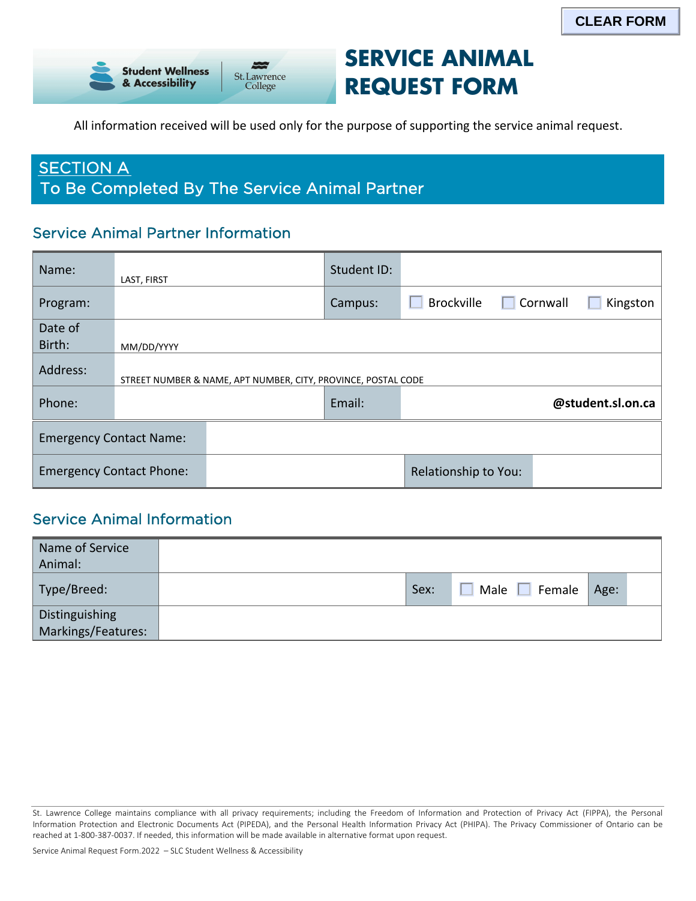

# **SERVICE ANIMAL REQUEST FORM**

All information received will be used only for the purpose of supporting the service animal request.

## **SECTION A** To Be Completed By The Service Animal Partner

## Service Animal Partner Information

| Name:                           | LAST, FIRST |                                                               | Student ID: |                   |                 |                   |
|---------------------------------|-------------|---------------------------------------------------------------|-------------|-------------------|-----------------|-------------------|
| Program:                        |             |                                                               | Campus:     | <b>Brockville</b> | $\Box$ Cornwall | Kingston          |
| Date of                         |             |                                                               |             |                   |                 |                   |
| Birth:                          | MM/DD/YYYY  |                                                               |             |                   |                 |                   |
| Address:                        |             | STREET NUMBER & NAME, APT NUMBER, CITY, PROVINCE, POSTAL CODE |             |                   |                 |                   |
| Phone:                          |             |                                                               | Email:      |                   |                 | @student.sl.on.ca |
| <b>Emergency Contact Name:</b>  |             |                                                               |             |                   |                 |                   |
| <b>Emergency Contact Phone:</b> |             | Relationship to You:                                          |             |                   |                 |                   |

### Service Animal Information

| Name of Service<br>Animal:           |                                  |      |  |
|--------------------------------------|----------------------------------|------|--|
| Type/Breed:                          | Male $\square$<br>Female<br>Sex: | Age: |  |
| Distinguishing<br>Markings/Features: |                                  |      |  |

 St. Lawrence College maintains compliance with all privacy requirements; including the Freedom of Information and Protection of Privacy Act (FIPPA), the Personal Information Protection and Electronic Documents Act (PIPEDA), and the Personal Health Information Privacy Act (PHIPA). The Privacy Commissioner of Ontario can be reached at 1-800-387-0037. If needed, this information will be made available in alternative format upon request.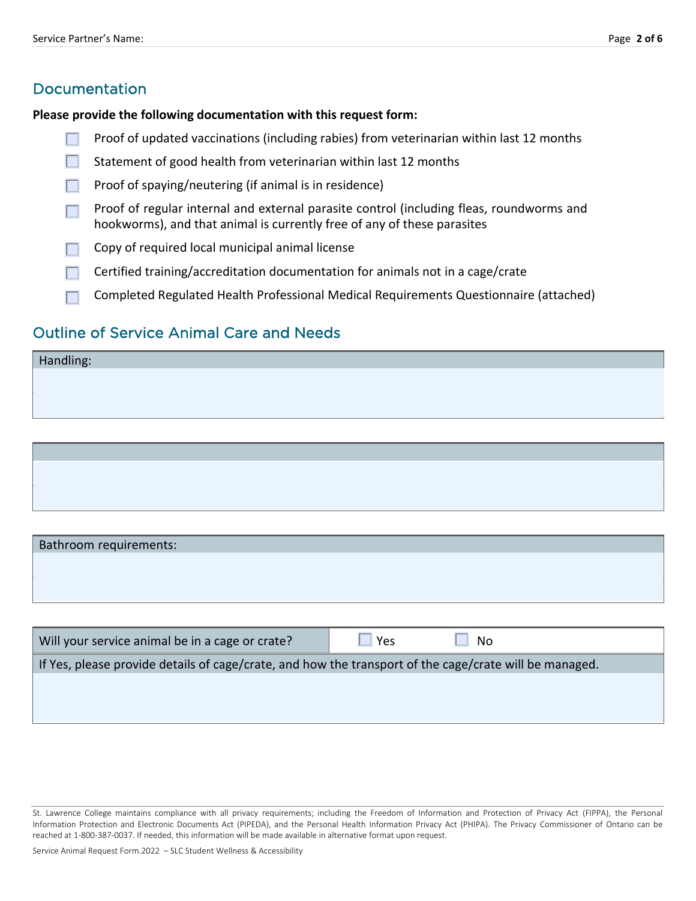### Documentation

#### **Please provide the following documentation with this request form:**

- Proof of updated vaccinations (including rabies) from veterinarian within last 12 months
- П Statement of good health from veterinarian within last 12 months
- Proof of spaying/neutering (if animal is in residence) П
- Proof of regular internal and external parasite control (including fleas, roundworms and m. hookworms), and that animal is currently free of any of these parasites
- Copy of required local municipal animal license
- Certified training/accreditation documentation for animals not in a cage/crate
- Completed Regulated Health Professional Medical Requirements Questionnaire (attached)

### Outline of Service Animal Care and Needs

Bathroom requirements:

Will your service animal be in a cage or crate?  $\Box$  Yes  $\Box$  No If Yes, please provide details of cage/crate, and how the transport of the cage/crate will be managed.

Service Animal Request Form.2022 – SLC Student Wellness & Accessibility

 St. Lawrence College maintains compliance with all privacy requirements; including the Freedom of Information and Protection of Privacy Act (FIPPA), the Personal Information Protection and Electronic Documents Act (PIPEDA), and the Personal Health Information Privacy Act (PHIPA). The Privacy Commissioner of Ontario can be reached at 1-800-387-0037. If needed, this information will be made available in alternative format upon request.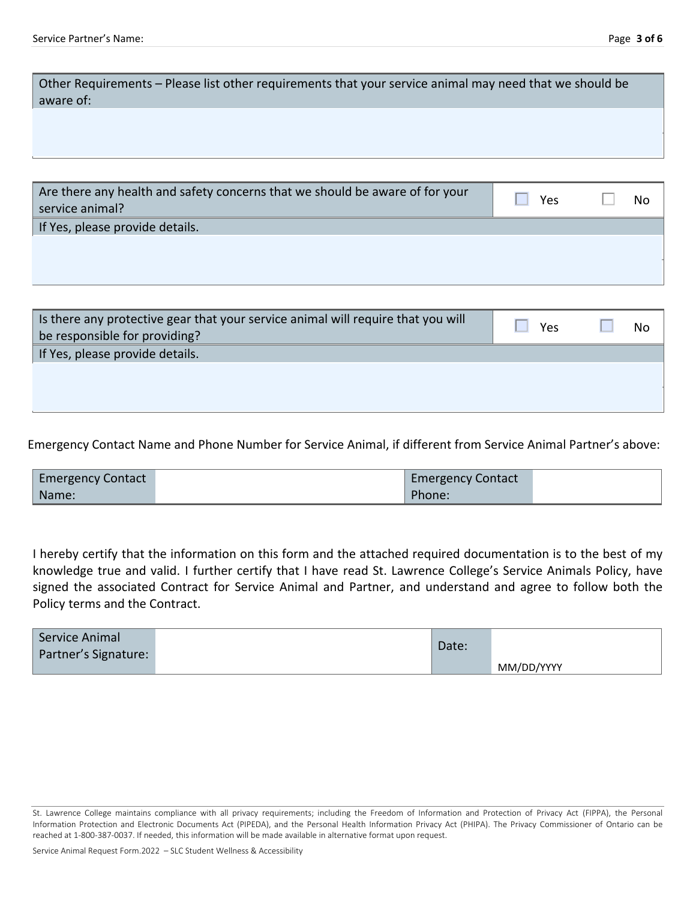| Other Requirements – Please list other requirements that your service animal may need that we should be<br>aware of: |
|----------------------------------------------------------------------------------------------------------------------|
|                                                                                                                      |
|                                                                                                                      |

| Are there any health and safety concerns that we should be aware of for your<br>service animal? | Yes | No |
|-------------------------------------------------------------------------------------------------|-----|----|
| If Yes, please provide details.                                                                 |     |    |
|                                                                                                 |     |    |
|                                                                                                 |     |    |
|                                                                                                 |     |    |

| Is there any protective gear that your service animal will require that you will<br>be responsible for providing? | Yes | No |
|-------------------------------------------------------------------------------------------------------------------|-----|----|
| If Yes, please provide details.                                                                                   |     |    |
|                                                                                                                   |     |    |
|                                                                                                                   |     |    |
|                                                                                                                   |     |    |

Emergency Contact Name and Phone Number for Service Animal, if different from Service Animal Partner's above:

| <b>Emergency Contact</b> | <b>Emergency Contact</b> |  |
|--------------------------|--------------------------|--|
| Name:                    | Phone:                   |  |

 I hereby certify that the information on this form and the attached required documentation is to the best of my knowledge true and valid. I further certify that I have read St. Lawrence College's Service Animals Policy, have signed the associated Contract for Service Animal and Partner, and understand and agree to follow both the Policy terms and the Contract.

| Service Animal<br>Partner's Signature: | Date: |            |
|----------------------------------------|-------|------------|
|                                        |       | MM/DD/YYYY |

 St. Lawrence College maintains compliance with all privacy requirements; including the Freedom of Information and Protection of Privacy Act (FIPPA), the Personal Information Protection and Electronic Documents Act (PIPEDA), and the Personal Health Information Privacy Act (PHIPA). The Privacy Commissioner of Ontario can be reached at 1-800-387-0037. If needed, this information will be made available in alternative format upon request.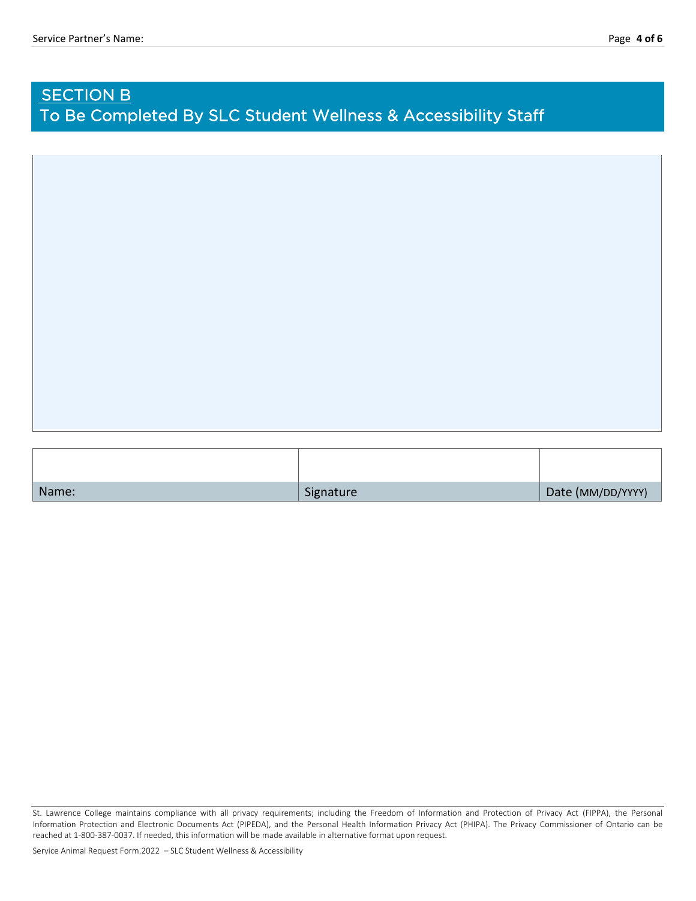## **SECTION B** To Be Completed By SLC Student Wellness & Accessibility Staff

| Name: | Signature | Date (MM/DD/YYYY) |
|-------|-----------|-------------------|

 St. Lawrence College maintains compliance with all privacy requirements; including the Freedom of Information and Protection of Privacy Act (FIPPA), the Personal Information Protection and Electronic Documents Act (PIPEDA), and the Personal Health Information Privacy Act (PHIPA). The Privacy Commissioner of Ontario can be reached at 1-800-387-0037. If needed, this information will be made available in alternative format upon request.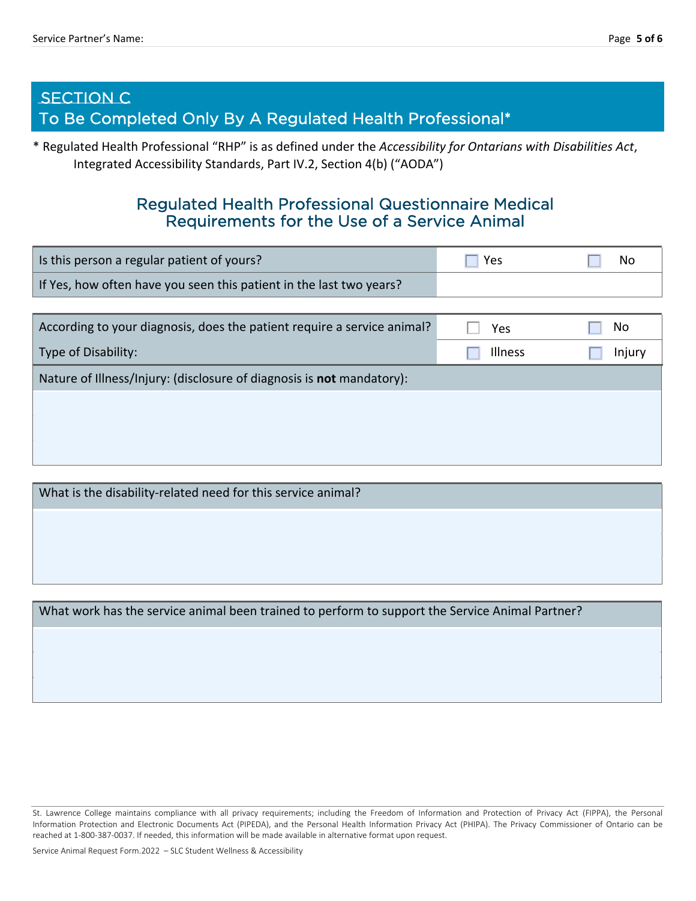## SECTION C To Be Completed Only By A Regulated Health Professional\*

\* Regulated Health Professional "RHP" is as defined under the *Accessibility for Ontarians with Disabilities Act*, Integrated Accessibility Standards, Part IV.2, Section 4(b) ("AODA")

## Regulated Health Professional Questionnaire Medical Requirements for the Use of a Service Animal

| Is this person a regular patient of yours?                          | <b>Yes</b> | No |
|---------------------------------------------------------------------|------------|----|
| If Yes, how often have you seen this patient in the last two years? |            |    |

| According to your diagnosis, does the patient require a service animal? | Yes            | No     |
|-------------------------------------------------------------------------|----------------|--------|
| Type of Disability:                                                     | <b>Illness</b> | Injury |
| Nature of Illness/Injury: (disclosure of diagnosis is not mandatory):   |                |        |
|                                                                         |                |        |
|                                                                         |                |        |
|                                                                         |                |        |

What is the disability-related need for this service animal?

What work has the service animal been trained to perform to support the Service Animal Partner?

 St. Lawrence College maintains compliance with all privacy requirements; including the Freedom of Information and Protection of Privacy Act (FIPPA), the Personal Information Protection and Electronic Documents Act (PIPEDA), and the Personal Health Information Privacy Act (PHIPA). The Privacy Commissioner of Ontario can be reached at 1-800-387-0037. If needed, this information will be made available in alternative format upon request.